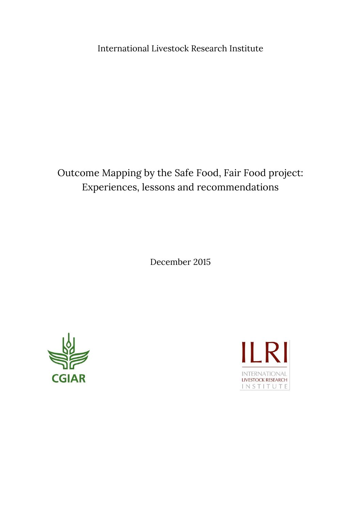International Livestock Research Institute

# Outcome Mapping by the Safe Food, Fair Food project: Experiences, lessons and recommendations

December 2015



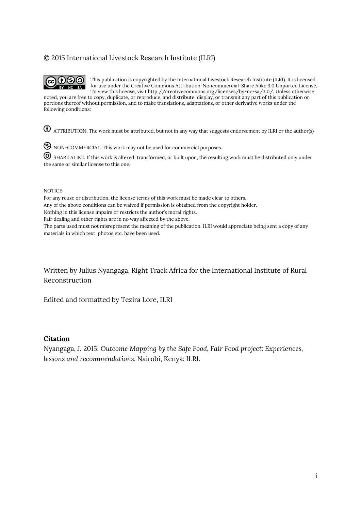### © 2015 International Livestock Research Institute (ILRI)



This publication is copyrighted by the International Livestock Research Institute (ILRI). It is licensed for use under the Creative Commons Attribution-Noncommercial-Share Alike 3.0 Unported License. To view this license, visit http://creativecommons.org/licenses/by-nc-sa/3.0/. Unless otherwise

noted, you are free to copy, duplicate, or reproduce, and distribute, display, or transmit any part of this publication or portions thereof without permission, and to make translations, adaptations, or other derivative works under the following conditions:

ATTRIBUTION. The work must be attributed, but not in any way that suggests endorsement by ILRI or the author(s)

NON-COMMERCIAL. This work may not be used for commercial purposes.

 SHARE ALIKE. If this work is altered, transformed, or built upon, the resulting work must be distributed only under the same or similar license to this one.

#### **NOTICE**

For any reuse or distribution, the license terms of this work must be made clear to others.

Any of the above conditions can be waived if permission is obtained from the copyright holder.

Nothing in this license impairs or restricts the author's moral rights.

Fair dealing and other rights are in no way affected by the above.

The parts used must not misrepresent the meaning of the publication. ILRI would appreciate being sent a copy of any materials in which text, photos etc. have been used.

Written by Julius Nyangaga, Right Track Africa for the International Institute of Rural Reconstruction

Edited and formatted by Tezira Lore, ILRI

#### **Citation**

Nyangaga, J. 2015. *Outcome Mapping by the Safe Food, Fair Food project: Experiences, lessons and recommendations.* Nairobi, Kenya: ILRI.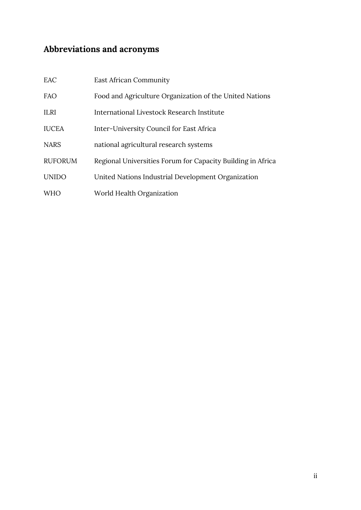# <span id="page-2-0"></span>**Abbreviations and acronyms**

| EAC            | <b>East African Community</b>                               |
|----------------|-------------------------------------------------------------|
| <b>FAO</b>     | Food and Agriculture Organization of the United Nations     |
| <b>ILRI</b>    | International Livestock Research Institute                  |
| <b>IUCEA</b>   | Inter-University Council for East Africa                    |
| <b>NARS</b>    | national agricultural research systems                      |
| <b>RUFORUM</b> | Regional Universities Forum for Capacity Building in Africa |
| <b>UNIDO</b>   | United Nations Industrial Development Organization          |
| <b>WHO</b>     | World Health Organization                                   |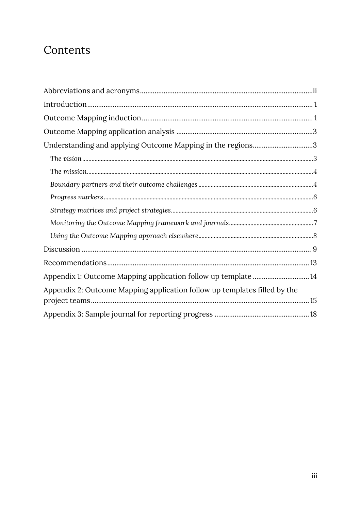# Contents

| Understanding and applying Outcome Mapping in the regions3                |  |
|---------------------------------------------------------------------------|--|
|                                                                           |  |
|                                                                           |  |
|                                                                           |  |
|                                                                           |  |
|                                                                           |  |
|                                                                           |  |
|                                                                           |  |
|                                                                           |  |
|                                                                           |  |
| Appendix 1: Outcome Mapping application follow up template  14            |  |
| Appendix 2: Outcome Mapping application follow up templates filled by the |  |
|                                                                           |  |
|                                                                           |  |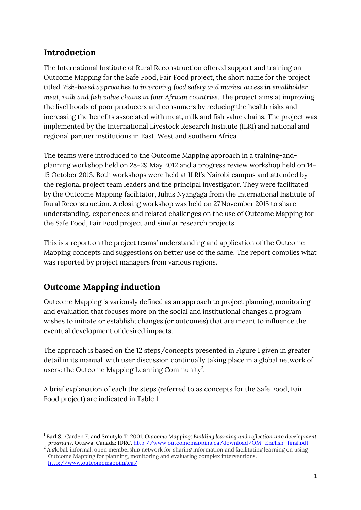# <span id="page-4-0"></span>**Introduction**

The International Institute of Rural Reconstruction offered support and training on Outcome Mapping for the Safe Food, Fair Food project, the short name for the project titled *Risk-based approaches to improving food safety and market access in smallholder meat, milk and fish value chains in four African countries*. The project aims at improving the livelihoods of poor producers and consumers by reducing the health risks and increasing the benefits associated with meat, milk and fish value chains. The project was implemented by the International Livestock Research Institute (ILRI) and national and regional partner institutions in East, West and southern Africa.

The teams were introduced to the Outcome Mapping approach in a training-andplanning workshop held on 28-29 May 2012 and a progress review workshop held on 14- 15 October 2013. Both workshops were held at ILRI's Nairobi campus and attended by the regional project team leaders and the principal investigator. They were facilitated by the Outcome Mapping facilitator, Julius Nyangaga from the International Institute of Rural Reconstruction. A closing workshop was held on 27 November 2015 to share understanding, experiences and related challenges on the use of Outcome Mapping for the Safe Food, Fair Food project and similar research projects.

This is a report on the project teams' understanding and application of the Outcome Mapping concepts and suggestions on better use of the same. The report compiles what was reported by project managers from various regions.

# <span id="page-4-1"></span>**Outcome Mapping induction**

**.** 

Outcome Mapping is variously defined as an approach to project planning, monitoring and evaluation that focuses more on the social and institutional changes a program wishes to initiate or establish; changes (or outcomes) that are meant to influence the eventual development of desired impacts.

The approach is based on the 12 steps/concepts presented in Figure 1 given in greater detail in its manual<sup>1</sup> with user discussion continually taking place in a global network of users: the Outcome Mapping Learning Community<sup>2</sup>.

A brief explanation of each the steps (referred to as concepts for the Safe Food, Fair Food project) are indicated in Table 1.

<sup>1</sup> Earl S., Carden F. and Smutylo T. 2001. *Outcome Mapping: Building learning and reflection into development* 

programs. Ottawa, Canada: IDRC, [http://www.outcomemapping.ca/download/OM\\_English\\_final.pdf](http://www.outcomemapping.ca/download/OM_English_final.pdf)<br><sup>2</sup> A global, informal, open membership network for sharing information and facilitating learning on using Outcome Mapping for planning, monitoring and evaluating complex interventions. <http://www.outcomemapping.ca/>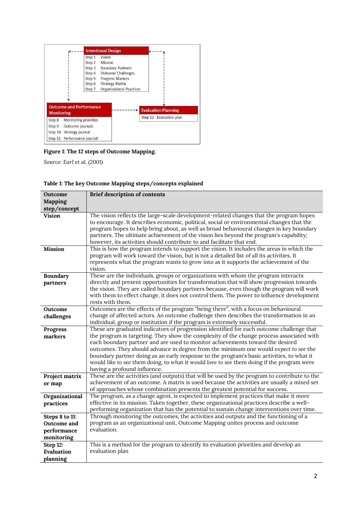|                                                     |                       | <b>Intentional Design</b>       |                            |
|-----------------------------------------------------|-----------------------|---------------------------------|----------------------------|
|                                                     | Step 1                | Vision                          |                            |
|                                                     | Step 2                | Mission                         |                            |
|                                                     | Step 3                | <b>Boundary Partners</b>        |                            |
|                                                     | Step 4                | <b>Outcome Challenges</b>       |                            |
|                                                     |                       | Step 5 Progress Markers         |                            |
|                                                     | Step 6                | <b>Strategy Matrix</b>          |                            |
|                                                     | Step 7                | <b>Organizational Practices</b> |                            |
|                                                     |                       |                                 |                            |
|                                                     |                       |                                 |                            |
|                                                     |                       |                                 |                            |
| <b>Outcome and Performance</b><br><b>Monitoring</b> |                       |                                 | <b>Evaluation Planning</b> |
|                                                     | Monitoring priorities |                                 | Step 12 Evaluation plan    |
|                                                     | Outcome journals      |                                 |                            |
| Step 8<br>Step 9<br>Step 10 Strategy journal        |                       |                                 |                            |

**Figure 1: The 12 steps of Outcome Mapping.**

*Source: Earl et al. (2001)*

| Table 1: The key Outcome Mapping steps/concepts explained |  |
|-----------------------------------------------------------|--|
|-----------------------------------------------------------|--|

| Outcome                                                    | <b>Brief description of contents</b>                                                                                                                                                                                                                                                                                                                                                                                                                                                                                                                                                    |
|------------------------------------------------------------|-----------------------------------------------------------------------------------------------------------------------------------------------------------------------------------------------------------------------------------------------------------------------------------------------------------------------------------------------------------------------------------------------------------------------------------------------------------------------------------------------------------------------------------------------------------------------------------------|
| Mapping                                                    |                                                                                                                                                                                                                                                                                                                                                                                                                                                                                                                                                                                         |
| step/concept                                               |                                                                                                                                                                                                                                                                                                                                                                                                                                                                                                                                                                                         |
| <b>Vision</b>                                              | The vision reflects the large-scale development-related changes that the program hopes<br>to encourage. It describes economic, political, social or environmental changes that the<br>program hopes to help bring about, as well as broad behavioural changes in key boundary<br>partners. The ultimate achievement of the vision lies beyond the program's capability;<br>however, its activities should contribute to and facilitate that end.                                                                                                                                        |
| <b>Mission</b>                                             | This is how the program intends to support the vision. It includes the areas in which the<br>program will work toward the vision, but is not a detailed list of all its activities. It<br>represents what the program wants to grow into as it supports the achievement of the<br>vision.                                                                                                                                                                                                                                                                                               |
| <b>Boundary</b><br>partners                                | These are the individuals, groups or organizations with whom the program interacts<br>directly and present opportunities for transformation that will show progression towards<br>the vision. They are called boundary partners because, even though the program will work<br>with them to effect change, it does not control them. The power to influence development<br>rests with them.                                                                                                                                                                                              |
| Outcome<br>challenges                                      | Outcomes are the effects of the program "being there", with a focus on behavioural<br>change of affected actors. An outcome challenge then describes the transformation in an<br>individual, group or institution if the program is extremely successful.                                                                                                                                                                                                                                                                                                                               |
| Progress<br>markers                                        | These are graduated indicators of progression identified for each outcome challenge that<br>the program is targeting. They show the complexity of the change process associated with<br>each boundary partner and are used to monitor achievements toward the desired<br>outcomes. They should advance in degree from the minimum one would expect to see the<br>boundary partner doing as an early response to the program's basic activities, to what it<br>would like to see them doing, to what it would love to see them doing if the program were<br>having a profound influence. |
| Project matrix<br>or map                                   | These are the activities (and outputs) that will be used by the program to contribute to the<br>achievement of an outcome. A matrix is used because the activities are usually a mixed set<br>of approaches whose combination presents the greatest potential for success.                                                                                                                                                                                                                                                                                                              |
| Organizational<br>practices                                | The program, as a change agent, is expected to implement practices that make it more<br>effective in its mission. Taken together, these organizational practices describe a well-<br>performing organization that has the potential to sustain change interventions over time.                                                                                                                                                                                                                                                                                                          |
| Steps 8 to 11:<br>Outcome and<br>performance<br>monitoring | Through monitoring the outcomes, the activities and outputs and the functioning of a<br>program as an organizational unit, Outcome Mapping unites process and outcome<br>evaluation.<br>This is a method for the program to identify its evaluation priorities and develop an                                                                                                                                                                                                                                                                                                           |
| Step 12:<br>Evaluation<br>planning                         | evaluation plan                                                                                                                                                                                                                                                                                                                                                                                                                                                                                                                                                                         |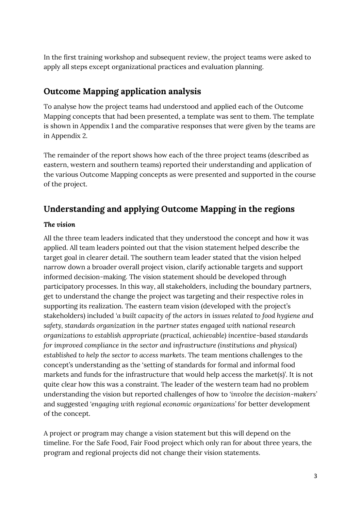In the first training workshop and subsequent review, the project teams were asked to apply all steps except organizational practices and evaluation planning.

# <span id="page-6-0"></span>**Outcome Mapping application analysis**

To analyse how the project teams had understood and applied each of the Outcome Mapping concepts that had been presented, a template was sent to them. The template is shown in Appendix 1 and the comparative responses that were given by the teams are in Appendix 2.

The remainder of the report shows how each of the three project teams (described as eastern, western and southern teams) reported their understanding and application of the various Outcome Mapping concepts as were presented and supported in the course of the project.

# <span id="page-6-1"></span>**Understanding and applying Outcome Mapping in the regions**

# <span id="page-6-2"></span>*The vision*

All the three team leaders indicated that they understood the concept and how it was applied. All team leaders pointed out that the vision statement helped describe the target goal in clearer detail. The southern team leader stated that the vision helped narrow down a broader overall project vision, clarify actionable targets and support informed decision-making. The vision statement should be developed through participatory processes. In this way, all stakeholders, including the boundary partners, get to understand the change the project was targeting and their respective roles in supporting its realization. The eastern team vision (developed with the project's stakeholders) included *'a built capacity of the actors in issues related to food hygiene and safety, standards organization in the partner states engaged with national research organizations to establish appropriate (practical, achievable) incentive-based standards for improved compliance in the sector and infrastructure (institutions and physical) established to help the sector to access markets*. The team mentions challenges to the concept's understanding as the 'setting of standards for formal and informal food markets and funds for the infrastructure that would help access the market(s)'. It is not quite clear how this was a constraint. The leader of the western team had no problem understanding the vision but reported challenges of how to *'involve the decision-makers'* and suggested *'engaging with regional economic organizations'* for better development of the concept.

A project or program may change a vision statement but this will depend on the timeline. For the Safe Food, Fair Food project which only ran for about three years, the program and regional projects did not change their vision statements.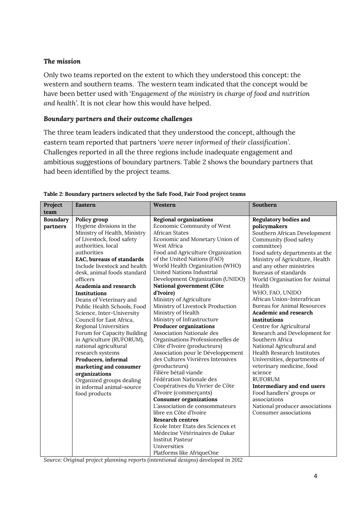### <span id="page-7-0"></span>*The mission*

Only two teams reported on the extent to which they understood this concept: the western and southern teams. The western team indicated that the concept would be have been better used with '*Engagement of the ministry in charge of food and nutrition and health'*. It is not clear how this would have helped.

### <span id="page-7-1"></span>*Boundary partners and their outcome challenges*

The three team leaders indicated that they understood the concept, although the eastern team reported that partners *'were never informed of their classification'*. Challenges reported in all the three regions include inadequate engagement and ambitious suggestions of boundary partners. Table 2 shows the boundary partners that had been identified by the project teams.

| Project         | <b>Eastern</b>               | Western                           | Southern                           |
|-----------------|------------------------------|-----------------------------------|------------------------------------|
| team            |                              |                                   |                                    |
| <b>Boundary</b> | Policy group                 | <b>Regional organizations</b>     | <b>Regulatory bodies and</b>       |
| partners        | Hygiene divisions in the     | Economic Community of West        | policymakers                       |
|                 | Ministry of Health, Ministry | African States                    | Southern African Development       |
|                 | of Livestock, food safety    | Economic and Monetary Union of    | Community (food safety             |
|                 | authorities, local           | West Africa                       | committee)                         |
|                 | authorities                  | Food and Agriculture Organization | Food safety departments at the     |
|                 | EAC, bureaus of standards    | of the United Nations (FAO)       | Ministry of Agriculture, Health    |
|                 | Include livestock and health | World Health Organization (WHO)   | and any other ministries           |
|                 | desk, animal foods standard  | United Nations Industrial         | Bureaus of standards               |
|                 | officers                     | Development Organization (UNIDO)  | World Organisation for Animal      |
|                 | Academia and research        | National government (Côte         | Health                             |
|                 | Institutions                 | d'Ivoire)                         | WHO, FAO, UNIDO                    |
|                 | Deans of Veterinary and      | Ministry of Agriculture           | African Union-Interafrican         |
|                 | Public Health Schools, Food  | Ministry of Livestock Production  | <b>Bureau for Animal Resources</b> |
|                 | Science, Inter-University    | Ministry of Health                | Academic and research              |
|                 | Council for East Africa,     | Ministry of Infrastructure        | institutions                       |
|                 | <b>Regional Universities</b> | <b>Producer organizations</b>     | Centre for Agricultural            |
|                 | Forum for Capacity Building  | <b>Association Nationale des</b>  | Research and Development for       |
|                 | in Agriculture (RUFORUM),    | Organisations Professionnelles de | Southern Africa                    |
|                 | national agricultural        | Côte d'Ivoire (producteurs)       | National Agricultural and          |
|                 | research systems             | Association pour le Développement | Health Research Institutes         |
|                 | Producers, informal          | des Cultures Vivrières Intensives | Universities, departments of       |
|                 | marketing and consumer       | (producteurs)                     | veterinary medicine, food          |
|                 | organizations                | Filière bétail viande             | science                            |
|                 | Organized groups dealing     | Fédération Nationale des          | <b>RUFORUM</b>                     |
|                 | in informal animal-source    | Coopératives du Vivrier de Côte   | Intermediary and end users         |
|                 | food products                | d'Ivoire (commerçants)            | Food handlers' groups or           |
|                 |                              | <b>Consumer organizations</b>     | associations                       |
|                 |                              | L'association de consommateurs    | National producer associations     |
|                 |                              | libre en Côte d'Ivoire            | Consumer associations              |
|                 |                              | <b>Research centres</b>           |                                    |
|                 |                              | Ecole Inter Etats des Sciences et |                                    |
|                 |                              | Médecine Vétérinaires de Dakar    |                                    |
|                 |                              | Institut Pasteur                  |                                    |
|                 |                              | Universities                      |                                    |
|                 |                              | Platforms like AfriqueOne         |                                    |

*Source: Original project planning reports (intentional designs) developed in 2012*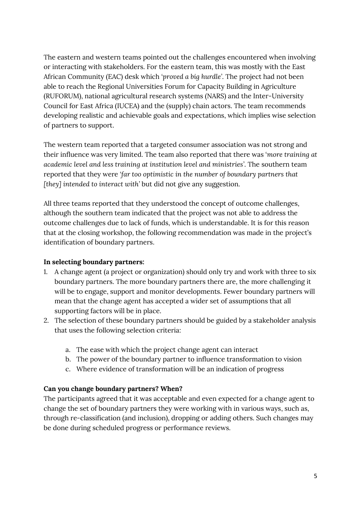The eastern and western teams pointed out the challenges encountered when involving or interacting with stakeholders. For the eastern team, this was mostly with the East African Community (EAC) desk which *'proved a big hurdle'*. The project had not been able to reach the Regional Universities Forum for Capacity Building in Agriculture (RUFORUM), national agricultural research systems (NARS) and the Inter-University Council for East Africa (IUCEA) and the (supply) chain actors. The team recommends developing realistic and achievable goals and expectations, which implies wise selection of partners to support.

The western team reported that a targeted consumer association was not strong and their influence was very limited. The team also reported that there was '*more training at academic level and less training at institution level and ministries'*. The southern team reported that they were *'far too optimistic in the number of boundary partners that [they] intended to interact with'* but did not give any suggestion.

All three teams reported that they understood the concept of outcome challenges, although the southern team indicated that the project was not able to address the outcome challenges due to lack of funds, which is understandable. It is for this reason that at the closing workshop, the following recommendation was made in the project's identification of boundary partners.

## **In selecting boundary partners:**

- 1. A change agent (a project or organization) should only try and work with three to six boundary partners. The more boundary partners there are, the more challenging it will be to engage, support and monitor developments. Fewer boundary partners will mean that the change agent has accepted a wider set of assumptions that all supporting factors will be in place.
- 2. The selection of these boundary partners should be guided by a stakeholder analysis that uses the following selection criteria:
	- a. The ease with which the project change agent can interact
	- b. The power of the boundary partner to influence transformation to vision
	- c. Where evidence of transformation will be an indication of progress

## **Can you change boundary partners? When?**

The participants agreed that it was acceptable and even expected for a change agent to change the set of boundary partners they were working with in various ways, such as, through re-classification (and inclusion), dropping or adding others. Such changes may be done during scheduled progress or performance reviews.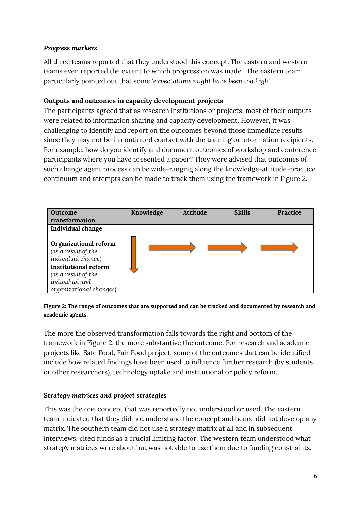### <span id="page-9-0"></span>*Progress markers*

All three teams reported that they understood this concept. The eastern and western teams even reported the extent to which progression was made. The eastern team particularly pointed out that some *'expectations might have been too high'*.

### **Outputs and outcomes in capacity development projects**

The participants agreed that as research institutions or projects, most of their outputs were related to information sharing and capacity development. However, it was challenging to identify and report on the outcomes beyond those immediate results since they may not be in continued contact with the training or information recipients. For example, how do you identify and document outcomes of workshop and conference participants where you have presented a paper? They were advised that outcomes of such change agent process can be wide-ranging along the knowledge-attitude-practice continuum and attempts can be made to track them using the framework in Figure 2.

| <b>Outcome</b>              | Knowledge | <b>Attitude</b> | <b>Skills</b> | Practice |
|-----------------------------|-----------|-----------------|---------------|----------|
| transformation              |           |                 |               |          |
| Individual change           |           |                 |               |          |
|                             |           |                 |               |          |
| Organizational reform       |           |                 |               |          |
| (as a result of the         |           |                 |               |          |
| individual change)          |           |                 |               |          |
| <b>Institutional reform</b> |           |                 |               |          |
| (as a result of the         |           |                 |               |          |
| individual and              |           |                 |               |          |
| organizational changes)     |           |                 |               |          |

#### **Figure 2: The range of outcomes that are supported and can be tracked and documented by research and academic agents.**

The more the observed transformation falls towards the right and bottom of the framework in Figure 2, the more substantive the outcome. For research and academic projects like Safe Food, Fair Food project, some of the outcomes that can be identified include how related findings have been used to influence further research (by students or other researchers), technology uptake and institutional or policy reform.

## <span id="page-9-1"></span>*Strategy matrices and project strategies*

This was the one concept that was reportedly not understood or used. The eastern team indicated that they did not understand the concept and hence did not develop any matrix. The southern team did not use a strategy matrix at all and in subsequent interviews, cited funds as a crucial limiting factor. The western team understood what strategy matrices were about but was not able to use them due to funding constraints.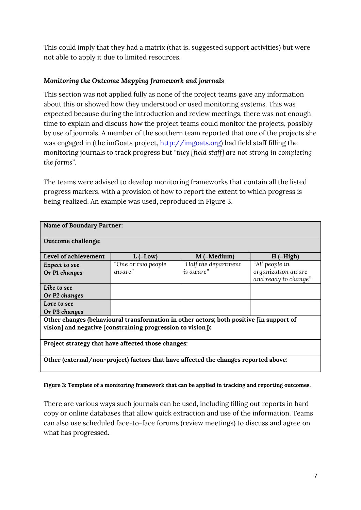This could imply that they had a matrix (that is, suggested support activities) but were not able to apply it due to limited resources.

# <span id="page-10-0"></span>*Monitoring the Outcome Mapping framework and journals*

This section was not applied fully as none of the project teams gave any information about this or showed how they understood or used monitoring systems. This was expected because during the introduction and review meetings, there was not enough time to explain and discuss how the project teams could monitor the projects, possibly by use of journals. A member of the southern team reported that one of the projects she was engaged in (the imGoats project, [http://imgoats.org\)](http://imgoats.org/) had field staff filling the monitoring journals to track progress but *"they [field staff] are not strong in completing the forms".*

The teams were advised to develop monitoring frameworks that contain all the listed progress markers, with a provision of how to report the extent to which progress is being realized. An example was used, reproduced in Figure 3.

| <b>Name of Boundary Partner:</b>                                                                                                                       |                               |                                    |                                                              |  |
|--------------------------------------------------------------------------------------------------------------------------------------------------------|-------------------------------|------------------------------------|--------------------------------------------------------------|--|
| <b>Outcome challenge:</b>                                                                                                                              |                               |                                    |                                                              |  |
| Level of achievement                                                                                                                                   | $L$ (=Low)                    | $M$ (=Medium)                      | $H$ (=High)                                                  |  |
| Expect to see<br>Or P1 changes                                                                                                                         | "One or two people"<br>aware" | "Half the department"<br>is aware" | "All people in<br>organization aware<br>and ready to change" |  |
| Like to see<br>Or P2 changes                                                                                                                           |                               |                                    |                                                              |  |
| Love to see<br>Or P3 changes                                                                                                                           |                               |                                    |                                                              |  |
| Other changes (behavioural transformation in other actors; both positive [in support of<br>vision] and negative [constraining progression to vision]): |                               |                                    |                                                              |  |
| Project strategy that have affected those changes:                                                                                                     |                               |                                    |                                                              |  |
| Other (external/non-project) factors that have affected the changes reported above:                                                                    |                               |                                    |                                                              |  |

### **Figure 3: Template of a monitoring framework that can be applied in tracking and reporting outcomes.**

There are various ways such journals can be used, including filling out reports in hard copy or online databases that allow quick extraction and use of the information. Teams can also use scheduled face-to-face forums (review meetings) to discuss and agree on what has progressed.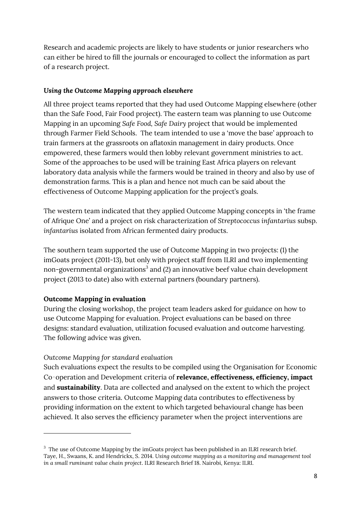Research and academic projects are likely to have students or junior researchers who can either be hired to fill the journals or encouraged to collect the information as part of a research project.

### <span id="page-11-0"></span>*Using the Outcome Mapping approach elsewhere*

All three project teams reported that they had used Outcome Mapping elsewhere (other than the Safe Food, Fair Food project). The eastern team was planning to use Outcome Mapping in an upcoming *Safe Food, Safe Dairy* project that would be implemented through Farmer Field Schools. The team intended to use a 'move the base' approach to train farmers at the grassroots on aflatoxin management in dairy products. Once empowered, these farmers would then lobby relevant government ministries to act. Some of the approaches to be used will be training East Africa players on relevant laboratory data analysis while the farmers would be trained in theory and also by use of demonstration farms. This is a plan and hence not much can be said about the effectiveness of Outcome Mapping application for the project's goals.

The western team indicated that they applied Outcome Mapping concepts in 'the frame of Afrique One' and a project on risk characterization of *Streptococcus infantarius* subsp. *infantarius* isolated from African fermented dairy products.

The southern team supported the use of Outcome Mapping in two projects: (1) the imGoats project (2011-13), but only with project staff from ILRI and two implementing non-governmental organizations $3$  and (2) an innovative beef value chain development project (2013 to date) also with external partners (boundary partners).

## **Outcome Mapping in evaluation**

1

During the closing workshop, the project team leaders asked for guidance on how to use Outcome Mapping for evaluation. Project evaluations can be based on three designs: standard evaluation, utilization focused evaluation and outcome harvesting. The following advice was given.

## *Outcome Mapping for standard evaluation*

Such evaluations expect the results to be compiled using the Organisation for Economic Co‑operation and Development criteria of **relevance, effectiveness, efficiency, impact**  and **sustainability**. Data are collected and analysed on the extent to which the project answers to those criteria. Outcome Mapping data contributes to effectiveness by providing information on the extent to which targeted behavioural change has been achieved. It also serves the efficiency parameter when the project interventions are

 $^3$  The use of Outcome Mapping by the imGoats project has been published in an ILRI research brief. Taye, H., Swaans, K. and Hendrickx, S. 2014. *Using outcome mapping as a monitoring and management tool in a small ruminant value chain project*. ILRI Research Brief 18. Nairobi, Kenya: ILRI.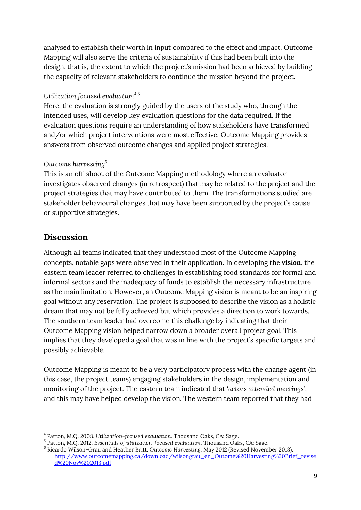analysed to establish their worth in input compared to the effect and impact. Outcome Mapping will also serve the criteria of sustainability if this had been built into the design, that is, the extent to which the project's mission had been achieved by building the capacity of relevant stakeholders to continue the mission beyond the project.

# *Utilization focused evaluation4,5*

Here, the evaluation is strongly guided by the users of the study who, through the intended uses, will develop key evaluation questions for the data required. If the evaluation questions require an understanding of how stakeholders have transformed and/or which project interventions were most effective, Outcome Mapping provides answers from observed outcome changes and applied project strategies.

# *Outcome harvesting<sup>6</sup>*

This is an off-shoot of the Outcome Mapping methodology where an evaluator investigates observed changes (in retrospect) that may be related to the project and the project strategies that may have contributed to them. The transformations studied are stakeholder behavioural changes that may have been supported by the project's cause or supportive strategies.

# <span id="page-12-0"></span>**Discussion**

1

Although all teams indicated that they understood most of the Outcome Mapping concepts, notable gaps were observed in their application. In developing the **vision**, the eastern team leader referred to challenges in establishing food standards for formal and informal sectors and the inadequacy of funds to establish the necessary infrastructure as the main limitation. However, an Outcome Mapping vision is meant to be an inspiring goal without any reservation. The project is supposed to describe the vision as a holistic dream that may not be fully achieved but which provides a direction to work towards. The southern team leader had overcome this challenge by indicating that their Outcome Mapping vision helped narrow down a broader overall project goal. This implies that they developed a goal that was in line with the project's specific targets and possibly achievable.

Outcome Mapping is meant to be a very participatory process with the change agent (in this case, the project teams) engaging stakeholders in the design, implementation and monitoring of the project. The eastern team indicated that *'actors attended meetings'*, and this may have helped develop the vision. The western team reported that they had

<sup>4</sup> Patton, M.Q. 2008. *Utilization-focused evaluation.* Thousand Oaks, CA: Sage.

<sup>5</sup> Patton, M.Q. 2012. *Essentials of utilization-focused evaluation*. Thousand Oaks, CA: Sage.

<sup>6</sup> Ricardo Wilson-Grau and Heather Britt. *Outcome Harvesting.* May 2012 (Revised November 2013). [http://www.outcomemapping.ca/download/wilsongrau\\_en\\_Outome%20Harvesting%20Brief\\_revise](http://www.outcomemapping.ca/download/wilsongrau_en_Outome%20Harvesting%20Brief_revised%20Nov%202013.pdf) [d%20Nov%202013.pdf](http://www.outcomemapping.ca/download/wilsongrau_en_Outome%20Harvesting%20Brief_revised%20Nov%202013.pdf)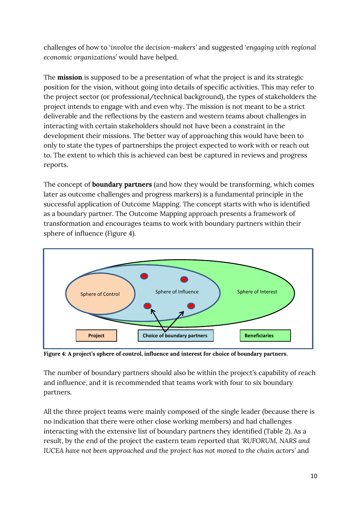challenges of how to '*involve the decision-makers'* and suggested *'engaging with regional economic organizations'* would have helped.

The **mission** is supposed to be a presentation of what the project is and its strategic position for the vision, without going into details of specific activities. This may refer to the project sector (or professional/technical background), the types of stakeholders the project intends to engage with and even why. The mission is not meant to be a strict deliverable and the reflections by the eastern and western teams about challenges in interacting with certain stakeholders should not have been a constraint in the development their missions. The better way of approaching this would have been to only to state the types of partnerships the project expected to work with or reach out to. The extent to which this is achieved can best be captured in reviews and progress reports.

The concept of **boundary partners** (and how they would be transforming, which comes later as outcome challenges and progress markers) is a fundamental principle in the successful application of Outcome Mapping. The concept starts with who is identified as a boundary partner. The Outcome Mapping approach presents a framework of transformation and encourages teams to work with boundary partners within their sphere of influence (Figure 4).



**Figure 4: A project's sphere of control, influence and interest for choice of boundary partners**.

The number of boundary partners should also be within the project's capability of reach and influence, and it is recommended that teams work with four to six boundary partners.

All the three project teams were mainly composed of the single leader (because there is no indication that there were other close working members) and had challenges interacting with the extensive list of boundary partners they identified (Table 2). As a result, by the end of the project the eastern team reported that *'RUFORUM, NARS and IUCEA have not been approached and the project has not moved to the chain actors'* and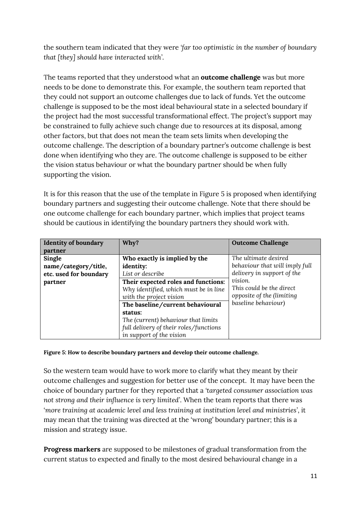the southern team indicated that they were *'far too optimistic in the number of boundary that [they] should have interacted with'*.

The teams reported that they understood what an **outcome challenge** was but more needs to be done to demonstrate this. For example, the southern team reported that they could not support an outcome challenges due to lack of funds. Yet the outcome challenge is supposed to be the most ideal behavioural state in a selected boundary if the project had the most successful transformational effect. The project's support may be constrained to fully achieve such change due to resources at its disposal, among other factors, but that does not mean the team sets limits when developing the outcome challenge. The description of a boundary partner's outcome challenge is best done when identifying who they are. The outcome challenge is supposed to be either the vision status behaviour or what the boundary partner should be when fully supporting the vision.

It is for this reason that the use of the template in Figure 5 is proposed when identifying boundary partners and suggesting their outcome challenge. Note that there should be one outcome challenge for each boundary partner, which implies that project teams should be cautious in identifying the boundary partners they should work with.

| <b>Identity of boundary</b> | Why?                                                                                                                 | <b>Outcome Challenge</b>                                         |  |
|-----------------------------|----------------------------------------------------------------------------------------------------------------------|------------------------------------------------------------------|--|
| partner                     |                                                                                                                      |                                                                  |  |
| Single                      | Who exactly is implied by the                                                                                        | The ultimate desired                                             |  |
| name/category/title,        | identity:                                                                                                            | behaviour that will imply full                                   |  |
| etc. used for boundary      | List or describe                                                                                                     | delivery in support of the                                       |  |
| partner                     | Their expected roles and functions:<br>Why identified, which must be in line<br>with the project vision              | vision.<br>This could be the direct<br>opposite of the (limiting |  |
|                             | The baseline/current behavioural                                                                                     | baseline behaviour)                                              |  |
|                             | status:<br>The (current) behaviour that limits<br>full delivery of their roles/functions<br>in support of the vision |                                                                  |  |

**Figure 5: How to describe boundary partners and develop their outcome challenge.**

So the western team would have to work more to clarify what they meant by their outcome challenges and suggestion for better use of the concept. It may have been the choice of boundary partner for they reported that a *'targeted consumer association was not strong and their influence is very limited'*. When the team reports that there was '*more training at academic level and less training at institution level and ministries'*, it may mean that the training was directed at the 'wrong' boundary partner; this is a mission and strategy issue.

**Progress markers** are supposed to be milestones of gradual transformation from the current status to expected and finally to the most desired behavioural change in a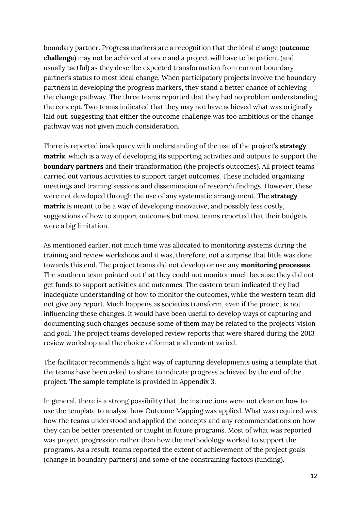boundary partner. Progress markers are a recognition that the ideal change (**outcome challenge**) may not be achieved at once and a project will have to be patient (and usually tactful) as they describe expected transformation from current boundary partner's status to most ideal change. When participatory projects involve the boundary partners in developing the progress markers, they stand a better chance of achieving the change pathway. The three teams reported that they had no problem understanding the concept. Two teams indicated that they may not have achieved what was originally laid out, suggesting that either the outcome challenge was too ambitious or the change pathway was not given much consideration.

There is reported inadequacy with understanding of the use of the project's **strategy matrix**, which is a way of developing its supporting activities and outputs to support the **boundary partners** and their transformation (the project's outcomes). All project teams carried out various activities to support target outcomes. These included organizing meetings and training sessions and dissemination of research findings. However, these were not developed through the use of any systematic arrangement. The **strategy matrix** is meant to be a way of developing innovative, and possibly less costly, suggestions of how to support outcomes but most teams reported that their budgets were a big limitation.

As mentioned earlier, not much time was allocated to monitoring systems during the training and review workshops and it was, therefore, not a surprise that little was done towards this end. The project teams did not develop or use any **monitoring processes**. The southern team pointed out that they could not monitor much because they did not get funds to support activities and outcomes. The eastern team indicated they had inadequate understanding of how to monitor the outcomes, while the western team did not give any report. Much happens as societies transform, even if the project is not influencing these changes. It would have been useful to develop ways of capturing and documenting such changes because some of them may be related to the projects' vision and goal. The project teams developed review reports that were shared during the 2013 review workshop and the choice of format and content varied.

The facilitator recommends a light way of capturing developments using a template that the teams have been asked to share to indicate progress achieved by the end of the project. The sample template is provided in Appendix 3.

In general, there is a strong possibility that the instructions were not clear on how to use the template to analyse how Outcome Mapping was applied. What was required was how the teams understood and applied the concepts and any recommendations on how they can be better presented or taught in future programs. Most of what was reported was project progression rather than how the methodology worked to support the programs. As a result, teams reported the extent of achievement of the project goals (change in boundary partners) and some of the constraining factors (funding).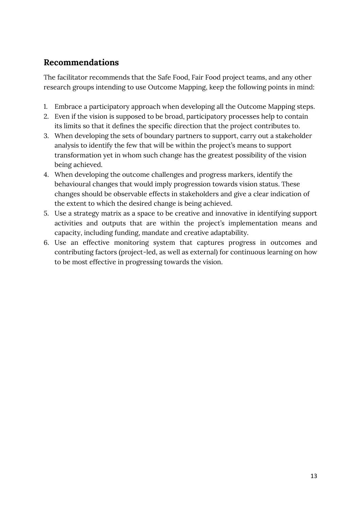# <span id="page-16-0"></span>**Recommendations**

The facilitator recommends that the Safe Food, Fair Food project teams, and any other research groups intending to use Outcome Mapping, keep the following points in mind:

- 1. Embrace a participatory approach when developing all the Outcome Mapping steps.
- 2. Even if the vision is supposed to be broad, participatory processes help to contain its limits so that it defines the specific direction that the project contributes to.
- 3. When developing the sets of boundary partners to support, carry out a stakeholder analysis to identify the few that will be within the project's means to support transformation yet in whom such change has the greatest possibility of the vision being achieved.
- 4. When developing the outcome challenges and progress markers, identify the behavioural changes that would imply progression towards vision status. These changes should be observable effects in stakeholders and give a clear indication of the extent to which the desired change is being achieved.
- 5. Use a strategy matrix as a space to be creative and innovative in identifying support activities and outputs that are within the project's implementation means and capacity, including funding, mandate and creative adaptability.
- 6. Use an effective monitoring system that captures progress in outcomes and contributing factors (project-led, as well as external) for continuous learning on how to be most effective in progressing towards the vision.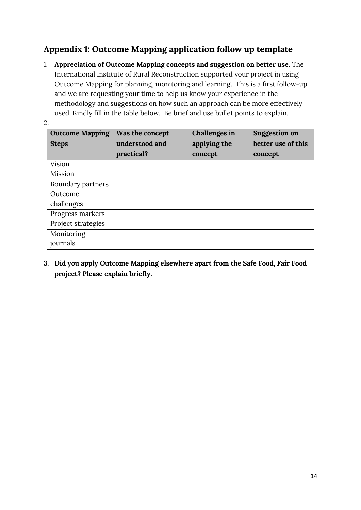# <span id="page-17-0"></span>**Appendix 1: Outcome Mapping application follow up template**

1. **Appreciation of Outcome Mapping concepts and suggestion on better use**. The International Institute of Rural Reconstruction supported your project in using Outcome Mapping for planning, monitoring and learning. This is a first follow-up and we are requesting your time to help us know your experience in the methodology and suggestions on how such an approach can be more effectively used. Kindly fill in the table below. Be brief and use bullet points to explain.

| ٢<br>I<br>I |        |
|-------------|--------|
|             | I<br>× |

| <b>Outcome Mapping</b><br><b>Steps</b> | Was the concept<br>understood and<br>practical? | Challenges in<br>applying the<br>concept | <b>Suggestion on</b><br>better use of this<br>concept |
|----------------------------------------|-------------------------------------------------|------------------------------------------|-------------------------------------------------------|
| <b>Vision</b>                          |                                                 |                                          |                                                       |
| Mission                                |                                                 |                                          |                                                       |
| Boundary partners                      |                                                 |                                          |                                                       |
| Outcome                                |                                                 |                                          |                                                       |
| challenges                             |                                                 |                                          |                                                       |
| Progress markers                       |                                                 |                                          |                                                       |
| Project strategies                     |                                                 |                                          |                                                       |
| Monitoring                             |                                                 |                                          |                                                       |
| journals                               |                                                 |                                          |                                                       |

**3. Did you apply Outcome Mapping elsewhere apart from the Safe Food, Fair Food project? Please explain briefly.**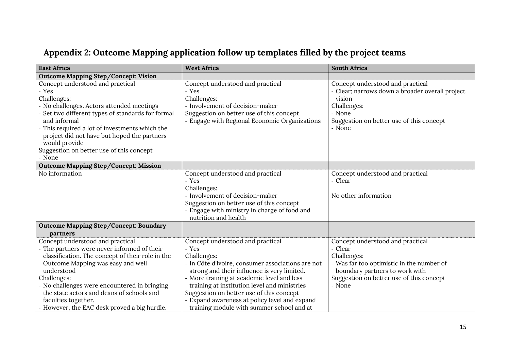# **Appendix 2: Outcome Mapping application follow up templates filled by the project teams**

<span id="page-18-0"></span>

| <b>East Africa</b>                                                                                                                                                                                                                                                                                                                                                        | <b>West Africa</b>                                                                                                                                                                                                                                                                                                                                                                                 | <b>South Africa</b>                                                                                                                                                                             |
|---------------------------------------------------------------------------------------------------------------------------------------------------------------------------------------------------------------------------------------------------------------------------------------------------------------------------------------------------------------------------|----------------------------------------------------------------------------------------------------------------------------------------------------------------------------------------------------------------------------------------------------------------------------------------------------------------------------------------------------------------------------------------------------|-------------------------------------------------------------------------------------------------------------------------------------------------------------------------------------------------|
| Outcome Mapping Step/Concept: Vision                                                                                                                                                                                                                                                                                                                                      |                                                                                                                                                                                                                                                                                                                                                                                                    |                                                                                                                                                                                                 |
| Concept understood and practical<br>- Yes<br>Challenges:<br>- No challenges. Actors attended meetings<br>- Set two different types of standards for formal<br>and informal<br>- This required a lot of investments which the<br>project did not have but hoped the partners<br>would provide<br>Suggestion on better use of this concept<br>- None                        | Concept understood and practical<br>- Yes<br>Challenges:<br>- Involvement of decision-maker<br>Suggestion on better use of this concept<br>- Engage with Regional Economic Organizations                                                                                                                                                                                                           | Concept understood and practical<br>Clear; narrows down a broader overall project<br>vision<br>Challenges:<br>- None<br>Suggestion on better use of this concept<br>- None                      |
| <b>Outcome Mapping Step/Concept: Mission</b>                                                                                                                                                                                                                                                                                                                              |                                                                                                                                                                                                                                                                                                                                                                                                    |                                                                                                                                                                                                 |
| No information                                                                                                                                                                                                                                                                                                                                                            | Concept understood and practical<br>- Yes<br>Challenges:<br>- Involvement of decision-maker<br>Suggestion on better use of this concept<br>- Engage with ministry in charge of food and<br>nutrition and health                                                                                                                                                                                    | Concept understood and practical<br>- Clear<br>No other information                                                                                                                             |
| <b>Outcome Mapping Step/Concept: Boundary</b><br>partners                                                                                                                                                                                                                                                                                                                 |                                                                                                                                                                                                                                                                                                                                                                                                    |                                                                                                                                                                                                 |
| Concept understood and practical<br>- The partners were never informed of their<br>classification. The concept of their role in the<br>Outcome Mapping was easy and well<br>understood<br>Challenges:<br>- No challenges were encountered in bringing<br>the state actors and deans of schools and<br>faculties together.<br>- However, the EAC desk proved a big hurdle. | Concept understood and practical<br>- Yes<br>Challenges:<br>- In Côte d'Ivoire, consumer associations are not<br>strong and their influence is very limited.<br>- More training at academic level and less<br>training at institution level and ministries<br>Suggestion on better use of this concept<br>Expand awareness at policy level and expand<br>training module with summer school and at | Concept understood and practical<br>- Clear<br>Challenges:<br>- Was far too optimistic in the number of<br>boundary partners to work with<br>Suggestion on better use of this concept<br>- None |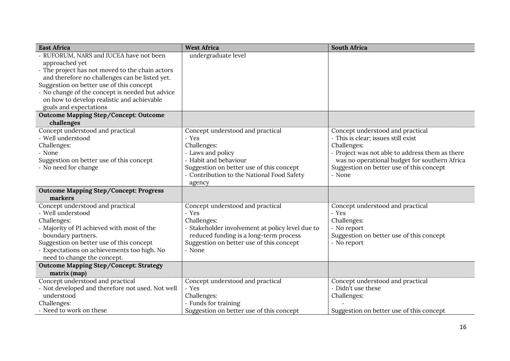| <b>East Africa</b>                                                                            | <b>West Africa</b>                                                                         | <b>South Africa</b>                                     |
|-----------------------------------------------------------------------------------------------|--------------------------------------------------------------------------------------------|---------------------------------------------------------|
| - RUFORUM, NARS and IUCEA have not been                                                       | undergraduate level                                                                        |                                                         |
| approached yet                                                                                |                                                                                            |                                                         |
| - The project has not moved to the chain actors                                               |                                                                                            |                                                         |
| and therefore no challenges can be listed yet.                                                |                                                                                            |                                                         |
| Suggestion on better use of this concept                                                      |                                                                                            |                                                         |
| - No change of the concept is needed but advice<br>on how to develop realistic and achievable |                                                                                            |                                                         |
| goals and expectations                                                                        |                                                                                            |                                                         |
| Outcome Mapping Step/Concept: Outcome                                                         |                                                                                            |                                                         |
| challenges                                                                                    |                                                                                            |                                                         |
| Concept understood and practical                                                              | Concept understood and practical                                                           | Concept understood and practical                        |
| - Well understood                                                                             | - Yes                                                                                      | - This is clear; issues still exist                     |
| Challenges:                                                                                   | Challenges:                                                                                | Challenges:                                             |
| - None                                                                                        | - Laws and policy                                                                          | - Project was not able to address them as there         |
| Suggestion on better use of this concept                                                      | - Habit and behaviour                                                                      | was no operational budget for southern Africa           |
| - No need for change                                                                          | Suggestion on better use of this concept                                                   | Suggestion on better use of this concept                |
|                                                                                               | - Contribution to the National Food Safety                                                 | - None                                                  |
|                                                                                               | agency                                                                                     |                                                         |
| <b>Outcome Mapping Step/Concept: Progress</b>                                                 |                                                                                            |                                                         |
| markers                                                                                       |                                                                                            |                                                         |
| Concept understood and practical                                                              | Concept understood and practical                                                           | Concept understood and practical                        |
| - Well understood                                                                             | - Yes                                                                                      | - Yes                                                   |
| Challenges:                                                                                   | Challenges:                                                                                | Challenges:                                             |
| - Majority of P1 achieved with most of the<br>boundary partners.                              | - Stakeholder involvement at policy level due to<br>reduced funding is a long-term process | - No report<br>Suggestion on better use of this concept |
| Suggestion on better use of this concept                                                      | Suggestion on better use of this concept                                                   | - No report                                             |
| - Expectations on achievements too high. No                                                   | - None                                                                                     |                                                         |
| need to change the concept.                                                                   |                                                                                            |                                                         |
| <b>Outcome Mapping Step/Concept: Strategy</b>                                                 |                                                                                            |                                                         |
| matrix (map)                                                                                  |                                                                                            |                                                         |
| Concept understood and practical                                                              | Concept understood and practical                                                           | Concept understood and practical                        |
| - Not developed and therefore not used. Not well                                              | - Yes                                                                                      | - Didn't use these                                      |
| understood                                                                                    | Challenges:                                                                                | Challenges:                                             |
| Challenges:                                                                                   | - Funds for training                                                                       |                                                         |
| - Need to work on these                                                                       | Suggestion on better use of this concept                                                   | Suggestion on better use of this concept                |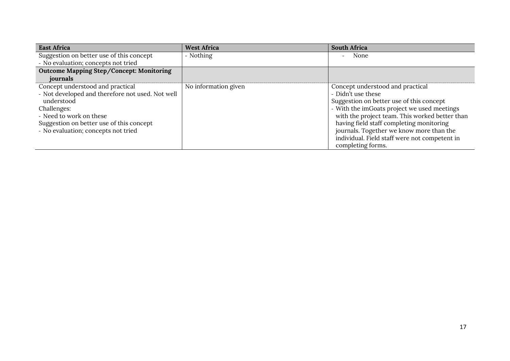| <b>East Africa</b>                               | <b>West Africa</b>   | <b>South Africa</b>                            |
|--------------------------------------------------|----------------------|------------------------------------------------|
| Suggestion on better use of this concept         | - Nothing            | None                                           |
| - No evaluation; concepts not tried              |                      |                                                |
| Outcome Mapping Step/Concept: Monitoring         |                      |                                                |
| journals                                         |                      |                                                |
| Concept understood and practical                 | No information given | Concept understood and practical               |
| - Not developed and therefore not used. Not well |                      | - Didn't use these                             |
| understood                                       |                      | Suggestion on better use of this concept       |
| Challenges:                                      |                      | - With the imGoats project we used meetings    |
| - Need to work on these                          |                      | with the project team. This worked better than |
| Suggestion on better use of this concept         |                      | having field staff completing monitoring       |
| - No evaluation; concepts not tried              |                      | journals. Together we know more than the       |
|                                                  |                      | individual. Field staff were not competent in  |
|                                                  |                      | completing forms.                              |